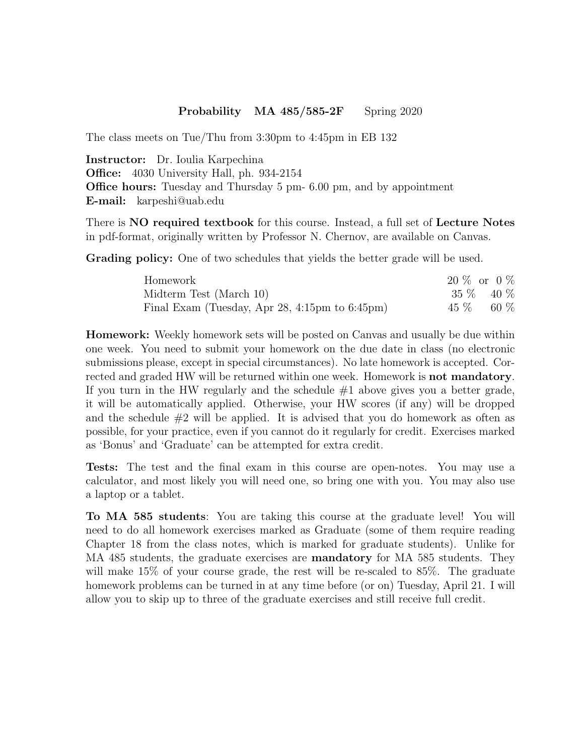## Probability MA 485/585-2F Spring 2020

The class meets on Tue/Thu from 3:30pm to 4:45pm in EB 132

Instructor: Dr. Ioulia Karpechina Office: 4030 University Hall, ph. 934-2154 Office hours: Tuesday and Thursday 5 pm- 6.00 pm, and by appointment E-mail: karpeshi@uab.edu

There is NO required textbook for this course. Instead, a full set of Lecture Notes in pdf-format, originally written by Professor N. Chernov, are available on Canvas.

Grading policy: One of two schedules that yields the better grade will be used.

| Homework                                                  | $20\%$ or $0\%$ |  |
|-----------------------------------------------------------|-----------------|--|
| Midterm Test (March 10)                                   | $35\%$ 40 $\%$  |  |
| Final Exam (Tuesday, Apr 28, 4:15pm to $6:45 \text{pm}$ ) | $45\%$ 60 $\%$  |  |

**Homework:** Weekly homework sets will be posted on Canvas and usually be due within one week. You need to submit your homework on the due date in class (no electronic submissions please, except in special circumstances). No late homework is accepted. Corrected and graded HW will be returned within one week. Homework is **not mandatory**. If you turn in the HW regularly and the schedule  $\#1$  above gives you a better grade, it will be automatically applied. Otherwise, your HW scores (if any) will be dropped and the schedule  $#2$  will be applied. It is advised that you do homework as often as possible, for your practice, even if you cannot do it regularly for credit. Exercises marked as 'Bonus' and 'Graduate' can be attempted for extra credit.

Tests: The test and the final exam in this course are open-notes. You may use a calculator, and most likely you will need one, so bring one with you. You may also use a laptop or a tablet.

To MA 585 students: You are taking this course at the graduate level! You will need to do all homework exercises marked as Graduate (some of them require reading Chapter 18 from the class notes, which is marked for graduate students). Unlike for MA 485 students, the graduate exercises are **mandatory** for MA 585 students. They will make 15% of your course grade, the rest will be re-scaled to 85%. The graduate homework problems can be turned in at any time before (or on) Tuesday, April 21. I will allow you to skip up to three of the graduate exercises and still receive full credit.